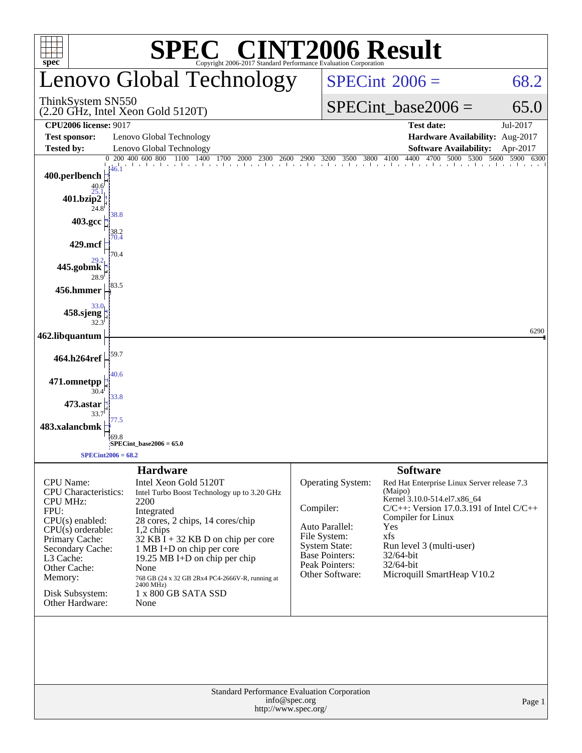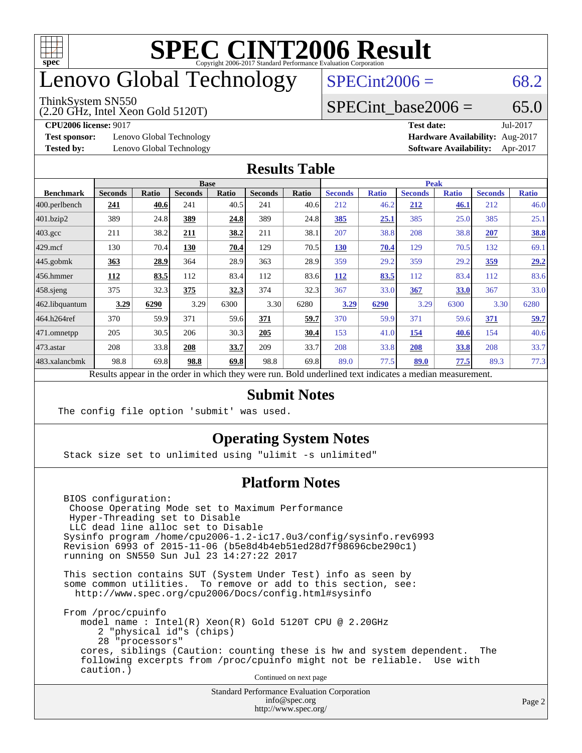

### enovo Global Technology

#### ThinkSystem SN550

(2.20 GHz, Intel Xeon Gold 5120T)

 $SPECint2006 = 68.2$  $SPECint2006 = 68.2$ 

### SPECint base2006 =  $65.0$

**[Test sponsor:](http://www.spec.org/auto/cpu2006/Docs/result-fields.html#Testsponsor)** Lenovo Global Technology **[Hardware Availability:](http://www.spec.org/auto/cpu2006/Docs/result-fields.html#HardwareAvailability)** Aug-2017

**[CPU2006 license:](http://www.spec.org/auto/cpu2006/Docs/result-fields.html#CPU2006license)** 9017 **[Test date:](http://www.spec.org/auto/cpu2006/Docs/result-fields.html#Testdate)** Jul-2017 **[Tested by:](http://www.spec.org/auto/cpu2006/Docs/result-fields.html#Testedby)** Lenovo Global Technology **[Software Availability:](http://www.spec.org/auto/cpu2006/Docs/result-fields.html#SoftwareAvailability)** Apr-2017

#### **[Results Table](http://www.spec.org/auto/cpu2006/Docs/result-fields.html#ResultsTable)**

|                                                                                                          |                |              |                | <b>Base</b> |                |       | <b>Peak</b>    |              |                |              |                |              |
|----------------------------------------------------------------------------------------------------------|----------------|--------------|----------------|-------------|----------------|-------|----------------|--------------|----------------|--------------|----------------|--------------|
| <b>Benchmark</b>                                                                                         | <b>Seconds</b> | <b>Ratio</b> | <b>Seconds</b> | Ratio       | <b>Seconds</b> | Ratio | <b>Seconds</b> | <b>Ratio</b> | <b>Seconds</b> | <b>Ratio</b> | <b>Seconds</b> | <b>Ratio</b> |
| 400.perlbench                                                                                            | 241            | 40.6         | 241            | 40.5        | 241            | 40.6  | 212            | 46.2         | 212            | 46.1         | 212            | 46.0         |
| 401.bzip2                                                                                                | 389            | 24.8         | 389            | 24.8        | 389            | 24.8  | 385            | 25.1         | 385            | 25.0         | 385            | 25.1         |
| $403.\mathrm{gcc}$                                                                                       | 211            | 38.2         | 211            | 38.2        | 211            | 38.1  | 207            | 38.8         | 208            | 38.8         | 207            | <u>38.8</u>  |
| $429$ mcf                                                                                                | 130            | 70.4         | 130            | 70.4        | 129            | 70.5  | <b>130</b>     | 70.4         | 129            | 70.5         | 132            | 69.1         |
| $445$ .gobmk                                                                                             | 363            | 28.9         | 364            | 28.9        | 363            | 28.9  | 359            | 29.2         | 359            | 29.2         | <u>359</u>     | 29.2         |
| $456.$ hmmer                                                                                             | 112            | 83.5         | 112            | 83.4        | 112            | 83.6  | 112            | 83.5         | 112            | 83.4         | 112            | 83.6         |
| $458$ .sjeng                                                                                             | 375            | 32.3         | 375            | 32.3        | 374            | 32.3  | 367            | 33.0         | 367            | 33.0         | 367            | 33.0         |
| 462.libquantum                                                                                           | 3.29           | 6290         | 3.29           | 6300        | 3.30           | 6280  | 3.29           | 6290         | 3.29           | 6300         | 3.30           | 6280         |
| 464.h264ref                                                                                              | 370            | 59.9         | 371            | 59.6        | 371            | 59.7  | 370            | 59.9         | 371            | 59.6         | 371            | 59.7         |
| 471.omnetpp                                                                                              | 205            | 30.5         | 206            | 30.3        | 205            | 30.4  | 153            | 41.0         | 154            | 40.6         | 154            | 40.6         |
| 473.astar                                                                                                | 208            | 33.8         | 208            | 33.7        | 209            | 33.7  | 208            | 33.8         | 208            | 33.8         | 208            | 33.7         |
| 483.xalancbmk                                                                                            | 98.8           | 69.8         | 98.8           | 69.8        | 98.8           | 69.8  | 89.0           | 77.5         | 89.0           | 77.5         | 89.3           | 77.3         |
| Results appear in the order in which they were run. Bold underlined text indicates a median measurement. |                |              |                |             |                |       |                |              |                |              |                |              |

#### **[Submit Notes](http://www.spec.org/auto/cpu2006/Docs/result-fields.html#SubmitNotes)**

The config file option 'submit' was used.

### **[Operating System Notes](http://www.spec.org/auto/cpu2006/Docs/result-fields.html#OperatingSystemNotes)**

Stack size set to unlimited using "ulimit -s unlimited"

### **[Platform Notes](http://www.spec.org/auto/cpu2006/Docs/result-fields.html#PlatformNotes)**

 BIOS configuration: Choose Operating Mode set to Maximum Performance Hyper-Threading set to Disable LLC dead line alloc set to Disable Sysinfo program /home/cpu2006-1.2-ic17.0u3/config/sysinfo.rev6993 Revision 6993 of 2015-11-06 (b5e8d4b4eb51ed28d7f98696cbe290c1) running on SN550 Sun Jul 23 14:27:22 2017

 This section contains SUT (System Under Test) info as seen by some common utilities. To remove or add to this section, see: <http://www.spec.org/cpu2006/Docs/config.html#sysinfo>

 From /proc/cpuinfo model name : Intel(R) Xeon(R) Gold 5120T CPU @ 2.20GHz 2 "physical id"s (chips) 28 "processors" cores, siblings (Caution: counting these is hw and system dependent. The following excerpts from /proc/cpuinfo might not be reliable. Use with caution.)

Continued on next page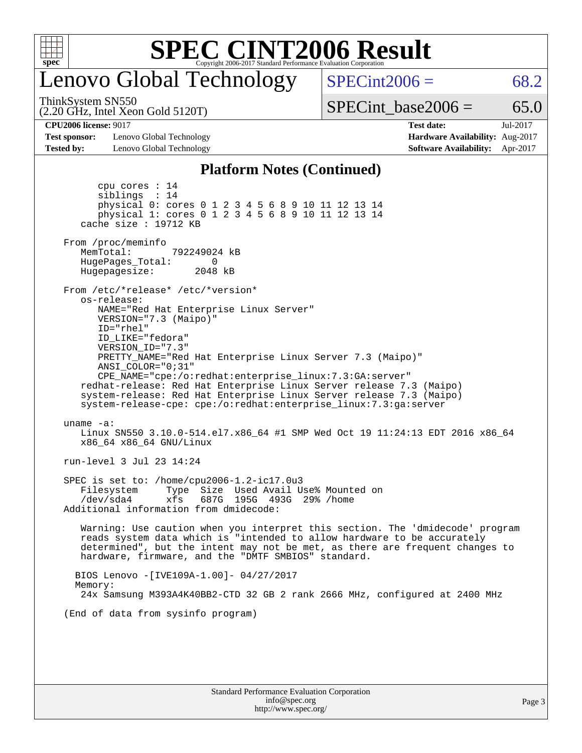

### enovo Global Technology

 $SPECint2006 = 68.2$  $SPECint2006 = 68.2$ 

(2.20 GHz, Intel Xeon Gold 5120T) ThinkSystem SN550

SPECint base2006 =  $65.0$ 

**[Test sponsor:](http://www.spec.org/auto/cpu2006/Docs/result-fields.html#Testsponsor)** Lenovo Global Technology **[Hardware Availability:](http://www.spec.org/auto/cpu2006/Docs/result-fields.html#HardwareAvailability)** Aug-2017 **[Tested by:](http://www.spec.org/auto/cpu2006/Docs/result-fields.html#Testedby)** Lenovo Global Technology **[Software Availability:](http://www.spec.org/auto/cpu2006/Docs/result-fields.html#SoftwareAvailability)** Apr-2017

**[CPU2006 license:](http://www.spec.org/auto/cpu2006/Docs/result-fields.html#CPU2006license)** 9017 **[Test date:](http://www.spec.org/auto/cpu2006/Docs/result-fields.html#Testdate)** Jul-2017

#### **[Platform Notes \(Continued\)](http://www.spec.org/auto/cpu2006/Docs/result-fields.html#PlatformNotes)**

 cpu cores : 14 siblings : 14 physical 0: cores 0 1 2 3 4 5 6 8 9 10 11 12 13 14 physical 1: cores 0 1 2 3 4 5 6 8 9 10 11 12 13 14 cache size : 19712 KB From /proc/meminfo MemTotal: 792249024 kB HugePages\_Total: 0<br>Hugepagesize: 2048 kB Hugepagesize: From /etc/\*release\* /etc/\*version\* os-release: NAME="Red Hat Enterprise Linux Server" VERSION="7.3 (Maipo)" ID="rhel" ID\_LIKE="fedora" VERSION\_ID="7.3" PRETTY\_NAME="Red Hat Enterprise Linux Server 7.3 (Maipo)" ANSI\_COLOR="0;31" CPE\_NAME="cpe:/o:redhat:enterprise\_linux:7.3:GA:server" redhat-release: Red Hat Enterprise Linux Server release 7.3 (Maipo) system-release: Red Hat Enterprise Linux Server release 7.3 (Maipo) system-release-cpe: cpe:/o:redhat:enterprise\_linux:7.3:ga:server uname -a: Linux SN550 3.10.0-514.el7.x86\_64 #1 SMP Wed Oct 19 11:24:13 EDT 2016 x86\_64 x86\_64 x86\_64 GNU/Linux run-level 3 Jul 23 14:24 SPEC is set to: /home/cpu2006-1.2-ic17.0u3 Filesystem Type Size Used Avail Use% Mounted on /dev/sda4 xfs 687G 195G 493G 29% /home Additional information from dmidecode: Warning: Use caution when you interpret this section. The 'dmidecode' program reads system data which is "intended to allow hardware to be accurately determined", but the intent may not be met, as there are frequent changes to hardware, firmware, and the "DMTF SMBIOS" standard. BIOS Lenovo -[IVE109A-1.00]- 04/27/2017 Memory: 24x Samsung M393A4K40BB2-CTD 32 GB 2 rank 2666 MHz, configured at 2400 MHz (End of data from sysinfo program)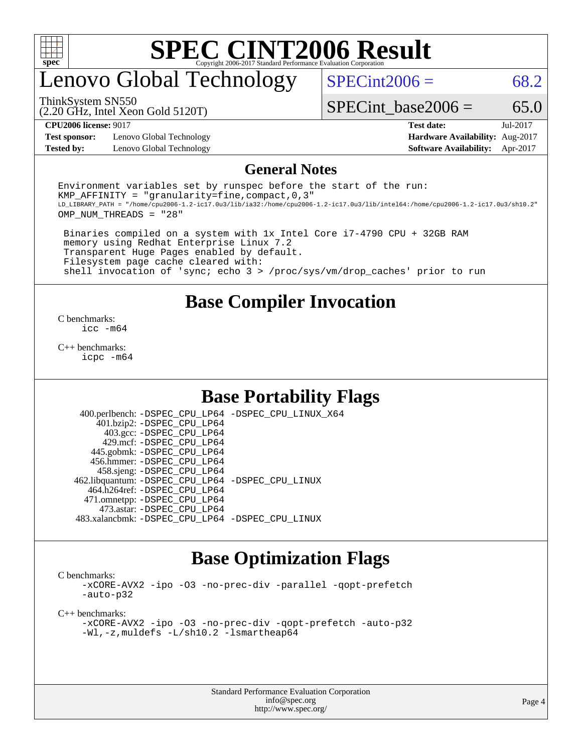

### enovo Global Technology

 $SPECint2006 = 68.2$  $SPECint2006 = 68.2$ 

(2.20 GHz, Intel Xeon Gold 5120T) ThinkSystem SN550

SPECint base2006 =  $65.0$ 

**[Test sponsor:](http://www.spec.org/auto/cpu2006/Docs/result-fields.html#Testsponsor)** Lenovo Global Technology **[Hardware Availability:](http://www.spec.org/auto/cpu2006/Docs/result-fields.html#HardwareAvailability)** Aug-2017

**[CPU2006 license:](http://www.spec.org/auto/cpu2006/Docs/result-fields.html#CPU2006license)** 9017 **[Test date:](http://www.spec.org/auto/cpu2006/Docs/result-fields.html#Testdate)** Jul-2017 **[Tested by:](http://www.spec.org/auto/cpu2006/Docs/result-fields.html#Testedby)** Lenovo Global Technology **[Software Availability:](http://www.spec.org/auto/cpu2006/Docs/result-fields.html#SoftwareAvailability)** Apr-2017

#### **[General Notes](http://www.spec.org/auto/cpu2006/Docs/result-fields.html#GeneralNotes)**

Environment variables set by runspec before the start of the run: KMP AFFINITY = "granularity=fine, compact,  $0,3$ " LD\_LIBRARY\_PATH = "/home/cpu2006-1.2-ic17.0u3/lib/ia32:/home/cpu2006-1.2-ic17.0u3/lib/intel64:/home/cpu2006-1.2-ic17.0u3/sh10.2" OMP\_NUM\_THREADS = "28"

 Binaries compiled on a system with 1x Intel Core i7-4790 CPU + 32GB RAM memory using Redhat Enterprise Linux 7.2 Transparent Huge Pages enabled by default. Filesystem page cache cleared with: shell invocation of 'sync; echo 3 > /proc/sys/vm/drop\_caches' prior to run

### **[Base Compiler Invocation](http://www.spec.org/auto/cpu2006/Docs/result-fields.html#BaseCompilerInvocation)**

[C benchmarks](http://www.spec.org/auto/cpu2006/Docs/result-fields.html#Cbenchmarks): [icc -m64](http://www.spec.org/cpu2006/results/res2017q4/cpu2006-20170918-50084.flags.html#user_CCbase_intel_icc_64bit_bda6cc9af1fdbb0edc3795bac97ada53)

[C++ benchmarks:](http://www.spec.org/auto/cpu2006/Docs/result-fields.html#CXXbenchmarks) [icpc -m64](http://www.spec.org/cpu2006/results/res2017q4/cpu2006-20170918-50084.flags.html#user_CXXbase_intel_icpc_64bit_fc66a5337ce925472a5c54ad6a0de310)

### **[Base Portability Flags](http://www.spec.org/auto/cpu2006/Docs/result-fields.html#BasePortabilityFlags)**

 400.perlbench: [-DSPEC\\_CPU\\_LP64](http://www.spec.org/cpu2006/results/res2017q4/cpu2006-20170918-50084.flags.html#b400.perlbench_basePORTABILITY_DSPEC_CPU_LP64) [-DSPEC\\_CPU\\_LINUX\\_X64](http://www.spec.org/cpu2006/results/res2017q4/cpu2006-20170918-50084.flags.html#b400.perlbench_baseCPORTABILITY_DSPEC_CPU_LINUX_X64) 401.bzip2: [-DSPEC\\_CPU\\_LP64](http://www.spec.org/cpu2006/results/res2017q4/cpu2006-20170918-50084.flags.html#suite_basePORTABILITY401_bzip2_DSPEC_CPU_LP64) 403.gcc: [-DSPEC\\_CPU\\_LP64](http://www.spec.org/cpu2006/results/res2017q4/cpu2006-20170918-50084.flags.html#suite_basePORTABILITY403_gcc_DSPEC_CPU_LP64) 429.mcf: [-DSPEC\\_CPU\\_LP64](http://www.spec.org/cpu2006/results/res2017q4/cpu2006-20170918-50084.flags.html#suite_basePORTABILITY429_mcf_DSPEC_CPU_LP64) 445.gobmk: [-DSPEC\\_CPU\\_LP64](http://www.spec.org/cpu2006/results/res2017q4/cpu2006-20170918-50084.flags.html#suite_basePORTABILITY445_gobmk_DSPEC_CPU_LP64) 456.hmmer: [-DSPEC\\_CPU\\_LP64](http://www.spec.org/cpu2006/results/res2017q4/cpu2006-20170918-50084.flags.html#suite_basePORTABILITY456_hmmer_DSPEC_CPU_LP64) 458.sjeng: [-DSPEC\\_CPU\\_LP64](http://www.spec.org/cpu2006/results/res2017q4/cpu2006-20170918-50084.flags.html#suite_basePORTABILITY458_sjeng_DSPEC_CPU_LP64) 462.libquantum: [-DSPEC\\_CPU\\_LP64](http://www.spec.org/cpu2006/results/res2017q4/cpu2006-20170918-50084.flags.html#suite_basePORTABILITY462_libquantum_DSPEC_CPU_LP64) [-DSPEC\\_CPU\\_LINUX](http://www.spec.org/cpu2006/results/res2017q4/cpu2006-20170918-50084.flags.html#b462.libquantum_baseCPORTABILITY_DSPEC_CPU_LINUX) 464.h264ref: [-DSPEC\\_CPU\\_LP64](http://www.spec.org/cpu2006/results/res2017q4/cpu2006-20170918-50084.flags.html#suite_basePORTABILITY464_h264ref_DSPEC_CPU_LP64) 471.omnetpp: [-DSPEC\\_CPU\\_LP64](http://www.spec.org/cpu2006/results/res2017q4/cpu2006-20170918-50084.flags.html#suite_basePORTABILITY471_omnetpp_DSPEC_CPU_LP64) 473.astar: [-DSPEC\\_CPU\\_LP64](http://www.spec.org/cpu2006/results/res2017q4/cpu2006-20170918-50084.flags.html#suite_basePORTABILITY473_astar_DSPEC_CPU_LP64) 483.xalancbmk: [-DSPEC\\_CPU\\_LP64](http://www.spec.org/cpu2006/results/res2017q4/cpu2006-20170918-50084.flags.html#suite_basePORTABILITY483_xalancbmk_DSPEC_CPU_LP64) [-DSPEC\\_CPU\\_LINUX](http://www.spec.org/cpu2006/results/res2017q4/cpu2006-20170918-50084.flags.html#b483.xalancbmk_baseCXXPORTABILITY_DSPEC_CPU_LINUX)

### **[Base Optimization Flags](http://www.spec.org/auto/cpu2006/Docs/result-fields.html#BaseOptimizationFlags)**

[C benchmarks](http://www.spec.org/auto/cpu2006/Docs/result-fields.html#Cbenchmarks):

[-xCORE-AVX2](http://www.spec.org/cpu2006/results/res2017q4/cpu2006-20170918-50084.flags.html#user_CCbase_f-xCORE-AVX2) [-ipo](http://www.spec.org/cpu2006/results/res2017q4/cpu2006-20170918-50084.flags.html#user_CCbase_f-ipo) [-O3](http://www.spec.org/cpu2006/results/res2017q4/cpu2006-20170918-50084.flags.html#user_CCbase_f-O3) [-no-prec-div](http://www.spec.org/cpu2006/results/res2017q4/cpu2006-20170918-50084.flags.html#user_CCbase_f-no-prec-div) [-parallel](http://www.spec.org/cpu2006/results/res2017q4/cpu2006-20170918-50084.flags.html#user_CCbase_f-parallel) [-qopt-prefetch](http://www.spec.org/cpu2006/results/res2017q4/cpu2006-20170918-50084.flags.html#user_CCbase_f-qopt-prefetch) [-auto-p32](http://www.spec.org/cpu2006/results/res2017q4/cpu2006-20170918-50084.flags.html#user_CCbase_f-auto-p32)

[C++ benchmarks:](http://www.spec.org/auto/cpu2006/Docs/result-fields.html#CXXbenchmarks)

[-xCORE-AVX2](http://www.spec.org/cpu2006/results/res2017q4/cpu2006-20170918-50084.flags.html#user_CXXbase_f-xCORE-AVX2) [-ipo](http://www.spec.org/cpu2006/results/res2017q4/cpu2006-20170918-50084.flags.html#user_CXXbase_f-ipo) [-O3](http://www.spec.org/cpu2006/results/res2017q4/cpu2006-20170918-50084.flags.html#user_CXXbase_f-O3) [-no-prec-div](http://www.spec.org/cpu2006/results/res2017q4/cpu2006-20170918-50084.flags.html#user_CXXbase_f-no-prec-div) [-qopt-prefetch](http://www.spec.org/cpu2006/results/res2017q4/cpu2006-20170918-50084.flags.html#user_CXXbase_f-qopt-prefetch) [-auto-p32](http://www.spec.org/cpu2006/results/res2017q4/cpu2006-20170918-50084.flags.html#user_CXXbase_f-auto-p32) [-Wl,-z,muldefs](http://www.spec.org/cpu2006/results/res2017q4/cpu2006-20170918-50084.flags.html#user_CXXbase_link_force_multiple1_74079c344b956b9658436fd1b6dd3a8a) [-L/sh10.2 -lsmartheap64](http://www.spec.org/cpu2006/results/res2017q4/cpu2006-20170918-50084.flags.html#user_CXXbase_SmartHeap64_63911d860fc08c15fa1d5bf319b9d8d5)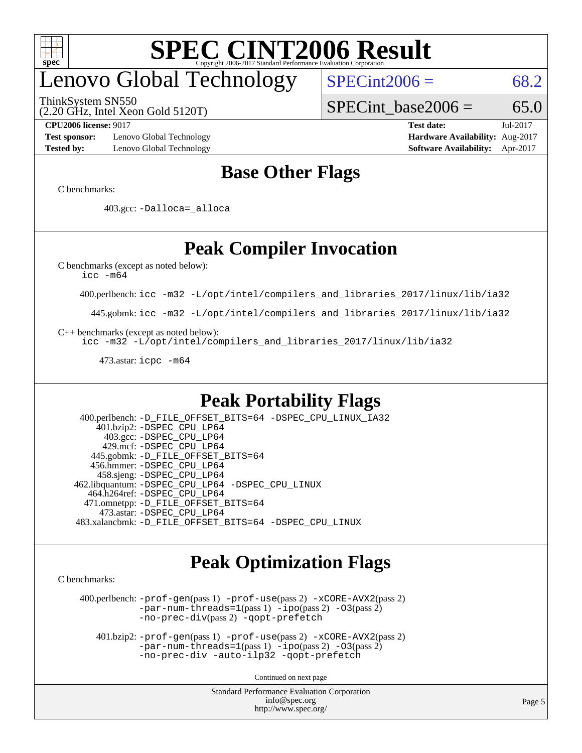

# enovo Global Technology

ThinkSystem SN550

 $SPECint2006 = 68.2$  $SPECint2006 = 68.2$ 

(2.20 GHz, Intel Xeon Gold 5120T)

SPECint base2006 =  $65.0$ 

**[Test sponsor:](http://www.spec.org/auto/cpu2006/Docs/result-fields.html#Testsponsor)** Lenovo Global Technology **[Hardware Availability:](http://www.spec.org/auto/cpu2006/Docs/result-fields.html#HardwareAvailability)** Aug-2017 **[Tested by:](http://www.spec.org/auto/cpu2006/Docs/result-fields.html#Testedby)** Lenovo Global Technology **[Software Availability:](http://www.spec.org/auto/cpu2006/Docs/result-fields.html#SoftwareAvailability)** Apr-2017

**[CPU2006 license:](http://www.spec.org/auto/cpu2006/Docs/result-fields.html#CPU2006license)** 9017 **[Test date:](http://www.spec.org/auto/cpu2006/Docs/result-fields.html#Testdate)** Jul-2017

### **[Base Other Flags](http://www.spec.org/auto/cpu2006/Docs/result-fields.html#BaseOtherFlags)**

[C benchmarks](http://www.spec.org/auto/cpu2006/Docs/result-fields.html#Cbenchmarks):

403.gcc: [-Dalloca=\\_alloca](http://www.spec.org/cpu2006/results/res2017q4/cpu2006-20170918-50084.flags.html#b403.gcc_baseEXTRA_CFLAGS_Dalloca_be3056838c12de2578596ca5467af7f3)

### **[Peak Compiler Invocation](http://www.spec.org/auto/cpu2006/Docs/result-fields.html#PeakCompilerInvocation)**

[C benchmarks \(except as noted below\)](http://www.spec.org/auto/cpu2006/Docs/result-fields.html#Cbenchmarksexceptasnotedbelow):

[icc -m64](http://www.spec.org/cpu2006/results/res2017q4/cpu2006-20170918-50084.flags.html#user_CCpeak_intel_icc_64bit_bda6cc9af1fdbb0edc3795bac97ada53)

400.perlbench: [icc -m32 -L/opt/intel/compilers\\_and\\_libraries\\_2017/linux/lib/ia32](http://www.spec.org/cpu2006/results/res2017q4/cpu2006-20170918-50084.flags.html#user_peakCCLD400_perlbench_intel_icc_c29f3ff5a7ed067b11e4ec10a03f03ae)

445.gobmk: [icc -m32 -L/opt/intel/compilers\\_and\\_libraries\\_2017/linux/lib/ia32](http://www.spec.org/cpu2006/results/res2017q4/cpu2006-20170918-50084.flags.html#user_peakCCLD445_gobmk_intel_icc_c29f3ff5a7ed067b11e4ec10a03f03ae)

[C++ benchmarks \(except as noted below\):](http://www.spec.org/auto/cpu2006/Docs/result-fields.html#CXXbenchmarksexceptasnotedbelow)

[icc -m32 -L/opt/intel/compilers\\_and\\_libraries\\_2017/linux/lib/ia32](http://www.spec.org/cpu2006/results/res2017q4/cpu2006-20170918-50084.flags.html#user_CXXpeak_intel_icc_c29f3ff5a7ed067b11e4ec10a03f03ae)

473.astar: [icpc -m64](http://www.spec.org/cpu2006/results/res2017q4/cpu2006-20170918-50084.flags.html#user_peakCXXLD473_astar_intel_icpc_64bit_fc66a5337ce925472a5c54ad6a0de310)

### **[Peak Portability Flags](http://www.spec.org/auto/cpu2006/Docs/result-fields.html#PeakPortabilityFlags)**

 400.perlbench: [-D\\_FILE\\_OFFSET\\_BITS=64](http://www.spec.org/cpu2006/results/res2017q4/cpu2006-20170918-50084.flags.html#user_peakPORTABILITY400_perlbench_file_offset_bits_64_438cf9856305ebd76870a2c6dc2689ab) [-DSPEC\\_CPU\\_LINUX\\_IA32](http://www.spec.org/cpu2006/results/res2017q4/cpu2006-20170918-50084.flags.html#b400.perlbench_peakCPORTABILITY_DSPEC_CPU_LINUX_IA32) 401.bzip2: [-DSPEC\\_CPU\\_LP64](http://www.spec.org/cpu2006/results/res2017q4/cpu2006-20170918-50084.flags.html#suite_peakPORTABILITY401_bzip2_DSPEC_CPU_LP64) 403.gcc: [-DSPEC\\_CPU\\_LP64](http://www.spec.org/cpu2006/results/res2017q4/cpu2006-20170918-50084.flags.html#suite_peakPORTABILITY403_gcc_DSPEC_CPU_LP64) 429.mcf: [-DSPEC\\_CPU\\_LP64](http://www.spec.org/cpu2006/results/res2017q4/cpu2006-20170918-50084.flags.html#suite_peakPORTABILITY429_mcf_DSPEC_CPU_LP64) 445.gobmk: [-D\\_FILE\\_OFFSET\\_BITS=64](http://www.spec.org/cpu2006/results/res2017q4/cpu2006-20170918-50084.flags.html#user_peakPORTABILITY445_gobmk_file_offset_bits_64_438cf9856305ebd76870a2c6dc2689ab) 456.hmmer: [-DSPEC\\_CPU\\_LP64](http://www.spec.org/cpu2006/results/res2017q4/cpu2006-20170918-50084.flags.html#suite_peakPORTABILITY456_hmmer_DSPEC_CPU_LP64) 458.sjeng: [-DSPEC\\_CPU\\_LP64](http://www.spec.org/cpu2006/results/res2017q4/cpu2006-20170918-50084.flags.html#suite_peakPORTABILITY458_sjeng_DSPEC_CPU_LP64) 462.libquantum: [-DSPEC\\_CPU\\_LP64](http://www.spec.org/cpu2006/results/res2017q4/cpu2006-20170918-50084.flags.html#suite_peakPORTABILITY462_libquantum_DSPEC_CPU_LP64) [-DSPEC\\_CPU\\_LINUX](http://www.spec.org/cpu2006/results/res2017q4/cpu2006-20170918-50084.flags.html#b462.libquantum_peakCPORTABILITY_DSPEC_CPU_LINUX) 464.h264ref: [-DSPEC\\_CPU\\_LP64](http://www.spec.org/cpu2006/results/res2017q4/cpu2006-20170918-50084.flags.html#suite_peakPORTABILITY464_h264ref_DSPEC_CPU_LP64) 471.omnetpp: [-D\\_FILE\\_OFFSET\\_BITS=64](http://www.spec.org/cpu2006/results/res2017q4/cpu2006-20170918-50084.flags.html#user_peakPORTABILITY471_omnetpp_file_offset_bits_64_438cf9856305ebd76870a2c6dc2689ab) 473.astar: [-DSPEC\\_CPU\\_LP64](http://www.spec.org/cpu2006/results/res2017q4/cpu2006-20170918-50084.flags.html#suite_peakPORTABILITY473_astar_DSPEC_CPU_LP64) 483.xalancbmk: [-D\\_FILE\\_OFFSET\\_BITS=64](http://www.spec.org/cpu2006/results/res2017q4/cpu2006-20170918-50084.flags.html#user_peakPORTABILITY483_xalancbmk_file_offset_bits_64_438cf9856305ebd76870a2c6dc2689ab) [-DSPEC\\_CPU\\_LINUX](http://www.spec.org/cpu2006/results/res2017q4/cpu2006-20170918-50084.flags.html#b483.xalancbmk_peakCXXPORTABILITY_DSPEC_CPU_LINUX)

### **[Peak Optimization Flags](http://www.spec.org/auto/cpu2006/Docs/result-fields.html#PeakOptimizationFlags)**

[C benchmarks](http://www.spec.org/auto/cpu2006/Docs/result-fields.html#Cbenchmarks):

 400.perlbench: [-prof-gen](http://www.spec.org/cpu2006/results/res2017q4/cpu2006-20170918-50084.flags.html#user_peakPASS1_CFLAGSPASS1_LDCFLAGS400_perlbench_prof_gen_e43856698f6ca7b7e442dfd80e94a8fc)(pass 1) [-prof-use](http://www.spec.org/cpu2006/results/res2017q4/cpu2006-20170918-50084.flags.html#user_peakPASS2_CFLAGSPASS2_LDCFLAGS400_perlbench_prof_use_bccf7792157ff70d64e32fe3e1250b55)(pass 2) [-xCORE-AVX2](http://www.spec.org/cpu2006/results/res2017q4/cpu2006-20170918-50084.flags.html#user_peakPASS2_CFLAGSPASS2_LDCFLAGS400_perlbench_f-xCORE-AVX2)(pass 2) [-par-num-threads=1](http://www.spec.org/cpu2006/results/res2017q4/cpu2006-20170918-50084.flags.html#user_peakPASS1_CFLAGSPASS1_LDCFLAGS400_perlbench_par_num_threads_786a6ff141b4e9e90432e998842df6c2)(pass 1) [-ipo](http://www.spec.org/cpu2006/results/res2017q4/cpu2006-20170918-50084.flags.html#user_peakPASS2_CFLAGSPASS2_LDCFLAGS400_perlbench_f-ipo)(pass 2) [-O3](http://www.spec.org/cpu2006/results/res2017q4/cpu2006-20170918-50084.flags.html#user_peakPASS2_CFLAGSPASS2_LDCFLAGS400_perlbench_f-O3)(pass 2) [-no-prec-div](http://www.spec.org/cpu2006/results/res2017q4/cpu2006-20170918-50084.flags.html#user_peakPASS2_CFLAGSPASS2_LDCFLAGS400_perlbench_f-no-prec-div)(pass 2) [-qopt-prefetch](http://www.spec.org/cpu2006/results/res2017q4/cpu2006-20170918-50084.flags.html#user_peakCOPTIMIZE400_perlbench_f-qopt-prefetch)

 401.bzip2: [-prof-gen](http://www.spec.org/cpu2006/results/res2017q4/cpu2006-20170918-50084.flags.html#user_peakPASS1_CFLAGSPASS1_LDCFLAGS401_bzip2_prof_gen_e43856698f6ca7b7e442dfd80e94a8fc)(pass 1) [-prof-use](http://www.spec.org/cpu2006/results/res2017q4/cpu2006-20170918-50084.flags.html#user_peakPASS2_CFLAGSPASS2_LDCFLAGS401_bzip2_prof_use_bccf7792157ff70d64e32fe3e1250b55)(pass 2) [-xCORE-AVX2](http://www.spec.org/cpu2006/results/res2017q4/cpu2006-20170918-50084.flags.html#user_peakPASS2_CFLAGSPASS2_LDCFLAGS401_bzip2_f-xCORE-AVX2)(pass 2)  $-par-num-threads=1(pass 1) -ipo(pass 2) -O3(pass 2)$  $-par-num-threads=1(pass 1) -ipo(pass 2) -O3(pass 2)$  $-par-num-threads=1(pass 1) -ipo(pass 2) -O3(pass 2)$  $-par-num-threads=1(pass 1) -ipo(pass 2) -O3(pass 2)$  $-par-num-threads=1(pass 1) -ipo(pass 2) -O3(pass 2)$  $-par-num-threads=1(pass 1) -ipo(pass 2) -O3(pass 2)$ [-no-prec-div](http://www.spec.org/cpu2006/results/res2017q4/cpu2006-20170918-50084.flags.html#user_peakCOPTIMIZEPASS2_CFLAGSPASS2_LDCFLAGS401_bzip2_f-no-prec-div) [-auto-ilp32](http://www.spec.org/cpu2006/results/res2017q4/cpu2006-20170918-50084.flags.html#user_peakCOPTIMIZE401_bzip2_f-auto-ilp32) [-qopt-prefetch](http://www.spec.org/cpu2006/results/res2017q4/cpu2006-20170918-50084.flags.html#user_peakCOPTIMIZE401_bzip2_f-qopt-prefetch)

Continued on next page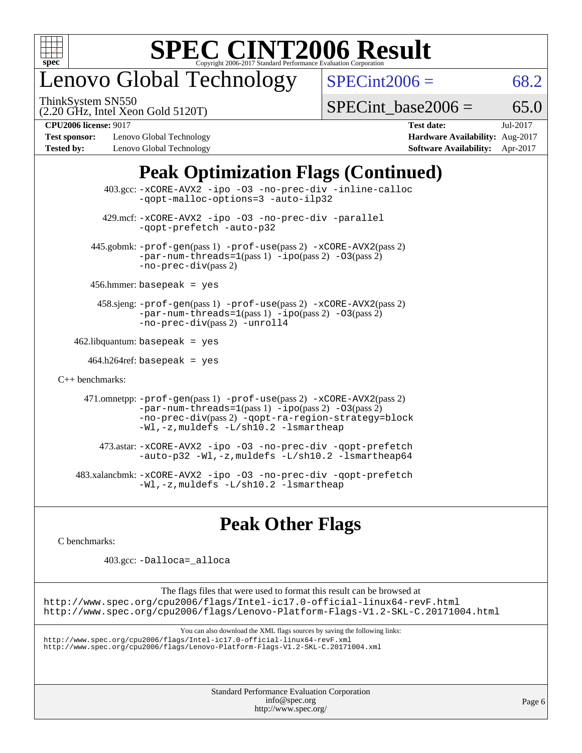

### enovo Global Technology

ThinkSystem SN550

 $SPECint2006 = 68.2$  $SPECint2006 = 68.2$ 

(2.20 GHz, Intel Xeon Gold 5120T)

[SPECint\\_base2006 =](http://www.spec.org/auto/cpu2006/Docs/result-fields.html#SPECintbase2006)  $65.0$ 

**[Test sponsor:](http://www.spec.org/auto/cpu2006/Docs/result-fields.html#Testsponsor)** Lenovo Global Technology **[Hardware Availability:](http://www.spec.org/auto/cpu2006/Docs/result-fields.html#HardwareAvailability)** Aug-2017 **[Tested by:](http://www.spec.org/auto/cpu2006/Docs/result-fields.html#Testedby)** Lenovo Global Technology **[Software Availability:](http://www.spec.org/auto/cpu2006/Docs/result-fields.html#SoftwareAvailability)** Apr-2017

**[CPU2006 license:](http://www.spec.org/auto/cpu2006/Docs/result-fields.html#CPU2006license)** 9017 **[Test date:](http://www.spec.org/auto/cpu2006/Docs/result-fields.html#Testdate)** Jul-2017

### **[Peak Optimization Flags \(Continued\)](http://www.spec.org/auto/cpu2006/Docs/result-fields.html#PeakOptimizationFlags)**

|                      | $403.\text{sec}: -x \text{CORE-AVX2}$ -ipo -03 -no-prec-div -inline-calloc<br>-gopt-malloc-options=3 -auto-ilp32                                                                                                                                   |
|----------------------|----------------------------------------------------------------------------------------------------------------------------------------------------------------------------------------------------------------------------------------------------|
|                      | 429.mcf: -xCORE-AVX2 -ipo -03 -no-prec-div -parallel<br>-gopt-prefetch -auto-p32                                                                                                                                                                   |
|                      | 445.gobmk: -prof-gen(pass 1) -prof-use(pass 2) -xCORE-AVX2(pass 2)<br>$-par-num-threads=1(pass 1) -ipo(pass 2) -03(pass 2)$<br>$-no\text{-}prec\text{-div}(pass 2)$                                                                                |
|                      | $456.$ hmmer: basepeak = yes                                                                                                                                                                                                                       |
|                      | $458 \text{.}$ sjeng: $-\text{prof-gen(pass 1)} - \text{prof-use(pass 2)} - \text{xCORE-AVX2(pass 2)}$<br>$-par-num-threads=1(pass 1) -ipo(pass 2) -03(pass 2)$<br>-no-prec-div(pass 2) -unroll4                                                   |
|                      | $462$ .libquantum: basepeak = yes                                                                                                                                                                                                                  |
|                      | $464.h264 \text{ref}$ : basepeak = yes                                                                                                                                                                                                             |
| $C_{++}$ benchmarks: |                                                                                                                                                                                                                                                    |
|                      | 471.omnetpp: $-$ prof $-$ gen(pass 1) $-$ prof $-$ use(pass 2) $-$ xCORE $-$ AVX2(pass 2)<br>$-par-num-threads=1(pass 1) -ipo(pass 2) -03(pass 2)$<br>-no-prec-div(pass 2) -qopt-ra-region-strategy=block<br>-Wl,-z, muldefs -L/sh10.2 -lsmartheap |
|                      | 473.astar: -xCORE-AVX2 -ipo -03 -no-prec-div -qopt-prefetch<br>$-$ auto-p32 -Wl,-z, muldefs -L/sh10.2 -lsmartheap64                                                                                                                                |
|                      | 483.xalancbmk: -xCORE-AVX2 -ipo -03 -no-prec-div -qopt-prefetch<br>-Wl,-z, muldefs -L/sh10.2 -lsmartheap                                                                                                                                           |

### **[Peak Other Flags](http://www.spec.org/auto/cpu2006/Docs/result-fields.html#PeakOtherFlags)**

[C benchmarks](http://www.spec.org/auto/cpu2006/Docs/result-fields.html#Cbenchmarks):

403.gcc: [-Dalloca=\\_alloca](http://www.spec.org/cpu2006/results/res2017q4/cpu2006-20170918-50084.flags.html#b403.gcc_peakEXTRA_CFLAGS_Dalloca_be3056838c12de2578596ca5467af7f3)

The flags files that were used to format this result can be browsed at <http://www.spec.org/cpu2006/flags/Intel-ic17.0-official-linux64-revF.html> <http://www.spec.org/cpu2006/flags/Lenovo-Platform-Flags-V1.2-SKL-C.20171004.html>

You can also download the XML flags sources by saving the following links:

<http://www.spec.org/cpu2006/flags/Intel-ic17.0-official-linux64-revF.xml> <http://www.spec.org/cpu2006/flags/Lenovo-Platform-Flags-V1.2-SKL-C.20171004.xml>